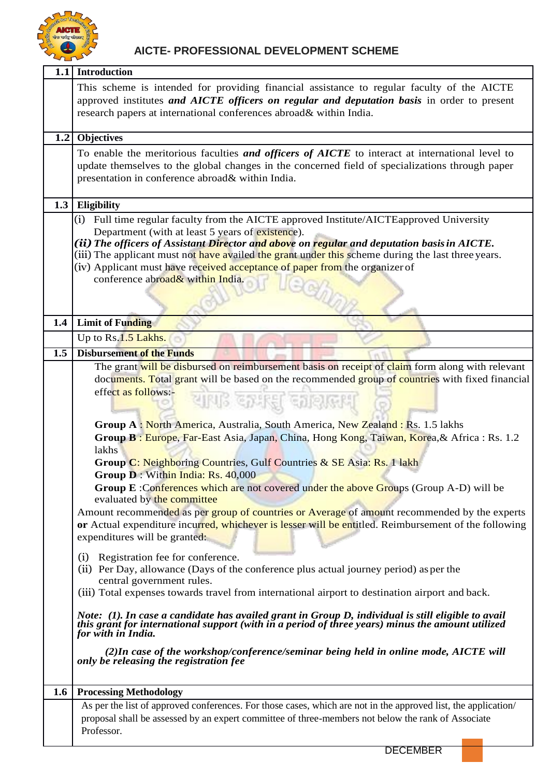

|                  | 1.1 Introduction                                                                                                                                                                                                                                                                                                                                                                                                                                                                                                                                                                                                                                                                                                                                                                                                                                                                                                                                                                                                                                                                                                                                                                                                                                                                                                                                                                                                                                                                                                                                          |
|------------------|-----------------------------------------------------------------------------------------------------------------------------------------------------------------------------------------------------------------------------------------------------------------------------------------------------------------------------------------------------------------------------------------------------------------------------------------------------------------------------------------------------------------------------------------------------------------------------------------------------------------------------------------------------------------------------------------------------------------------------------------------------------------------------------------------------------------------------------------------------------------------------------------------------------------------------------------------------------------------------------------------------------------------------------------------------------------------------------------------------------------------------------------------------------------------------------------------------------------------------------------------------------------------------------------------------------------------------------------------------------------------------------------------------------------------------------------------------------------------------------------------------------------------------------------------------------|
|                  | This scheme is intended for providing financial assistance to regular faculty of the AICTE<br>approved institutes and AICTE officers on regular and deputation basis in order to present<br>research papers at international conferences abroad& within India.                                                                                                                                                                                                                                                                                                                                                                                                                                                                                                                                                                                                                                                                                                                                                                                                                                                                                                                                                                                                                                                                                                                                                                                                                                                                                            |
|                  | 1.2 Objectives                                                                                                                                                                                                                                                                                                                                                                                                                                                                                                                                                                                                                                                                                                                                                                                                                                                                                                                                                                                                                                                                                                                                                                                                                                                                                                                                                                                                                                                                                                                                            |
|                  | To enable the meritorious faculties and officers of AICTE to interact at international level to<br>update themselves to the global changes in the concerned field of specializations through paper<br>presentation in conference abroad& within India.                                                                                                                                                                                                                                                                                                                                                                                                                                                                                                                                                                                                                                                                                                                                                                                                                                                                                                                                                                                                                                                                                                                                                                                                                                                                                                    |
| 1.3              | Eligibility                                                                                                                                                                                                                                                                                                                                                                                                                                                                                                                                                                                                                                                                                                                                                                                                                                                                                                                                                                                                                                                                                                                                                                                                                                                                                                                                                                                                                                                                                                                                               |
|                  | (i) Full time regular faculty from the AICTE approved Institute/AICTE approved University<br>Department (with at least 5 years of existence).<br>(ii) The officers of Assistant Director and above on regular and deputation basis in AICTE.<br>(iii) The applicant must not have availed the grant under this scheme during the last three years.<br>(iv) Applicant must have received acceptance of paper from the organizer of<br>conference abroad& within India.                                                                                                                                                                                                                                                                                                                                                                                                                                                                                                                                                                                                                                                                                                                                                                                                                                                                                                                                                                                                                                                                                     |
| 1.4              | <b>Limit of Funding</b>                                                                                                                                                                                                                                                                                                                                                                                                                                                                                                                                                                                                                                                                                                                                                                                                                                                                                                                                                                                                                                                                                                                                                                                                                                                                                                                                                                                                                                                                                                                                   |
|                  | Up to Rs.1.5 Lakhs.                                                                                                                                                                                                                                                                                                                                                                                                                                                                                                                                                                                                                                                                                                                                                                                                                                                                                                                                                                                                                                                                                                                                                                                                                                                                                                                                                                                                                                                                                                                                       |
| $\overline{1.5}$ | <b>Disbursement of the Funds</b>                                                                                                                                                                                                                                                                                                                                                                                                                                                                                                                                                                                                                                                                                                                                                                                                                                                                                                                                                                                                                                                                                                                                                                                                                                                                                                                                                                                                                                                                                                                          |
|                  | The grant will be disbursed on reimbursement basis on receipt of claim form along with relevant<br>documents. Total grant will be based on the recommended group of countries with fixed financial<br>effect as follows:-<br>IS EFIREI EI<br>Group A: North America, Australia, South America, New Zealand: Rs. 1.5 lakhs<br>Group B: Europe, Far-East Asia, Japan, China, Hong Kong, Taiwan, Korea, & Africa: Rs. 1.2<br>lakhs<br>Group C: Neighboring Countries, Gulf Countries & SE Asia: Rs. 1 lakh<br>Group D: Within India: Rs. 40,000<br><b>Group E:Conferences which are not covered under the above Groups (Group A-D) will be</b><br>evaluated by the committee<br>Amount recommended as per group of countries or Average of amount recommended by the experts<br>or Actual expenditure incurred, whichever is lesser will be entitled. Reimbursement of the following<br>expenditures will be granted:<br>Registration fee for conference.<br>(i)<br>(ii) Per Day, allowance (Days of the conference plus actual journey period) as per the<br>central government rules.<br>(iii) Total expenses towards travel from international airport to destination airport and back.<br>Note: (1). In case a candidate has availed grant in Group D, individual is still eligible to avail<br>this grant for international support (with in a period of three years) minus the amount utilized<br>for with in India.<br>(2) In case of the workshop/conference/seminar being held in online mode, AICTE will<br>only be releasing the registration fee |
| 1.6              | <b>Processing Methodology</b>                                                                                                                                                                                                                                                                                                                                                                                                                                                                                                                                                                                                                                                                                                                                                                                                                                                                                                                                                                                                                                                                                                                                                                                                                                                                                                                                                                                                                                                                                                                             |
|                  | As per the list of approved conferences. For those cases, which are not in the approved list, the application/<br>proposal shall be assessed by an expert committee of three-members not below the rank of Associate<br>Professor.                                                                                                                                                                                                                                                                                                                                                                                                                                                                                                                                                                                                                                                                                                                                                                                                                                                                                                                                                                                                                                                                                                                                                                                                                                                                                                                        |